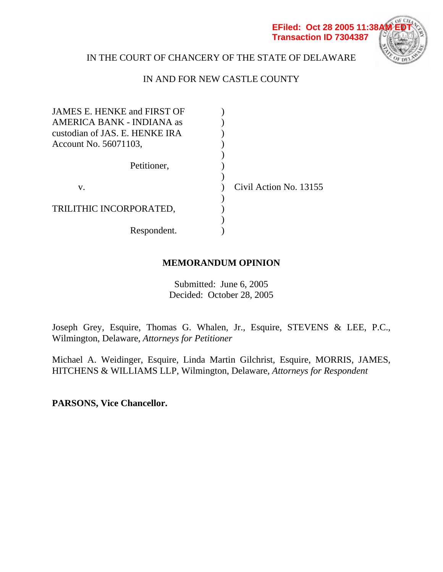

# IN THE COURT OF CHANCERY OF THE STATE OF DELAWARE

# IN AND FOR NEW CASTLE COUNTY

| <b>JAMES E. HENKE and FIRST OF</b> |                        |
|------------------------------------|------------------------|
| AMERICA BANK - INDIANA as          |                        |
| custodian of JAS. E. HENKE IRA     |                        |
| Account No. 56071103,              |                        |
|                                    |                        |
| Petitioner,                        |                        |
|                                    |                        |
| V.                                 | Civil Action No. 13155 |
|                                    |                        |
| TRILITHIC INCORPORATED,            |                        |
|                                    |                        |
| Respondent.                        |                        |

# **MEMORANDUM OPINION**

Submitted: June 6, 2005 Decided: October 28, 2005

Joseph Grey, Esquire, Thomas G. Whalen, Jr., Esquire, STEVENS & LEE, P.C., Wilmington, Delaware, *Attorneys for Petitioner*

Michael A. Weidinger, Esquire, Linda Martin Gilchrist, Esquire, MORRIS, JAMES, HITCHENS & WILLIAMS LLP, Wilmington, Delaware, *Attorneys for Respondent* 

**PARSONS, Vice Chancellor.**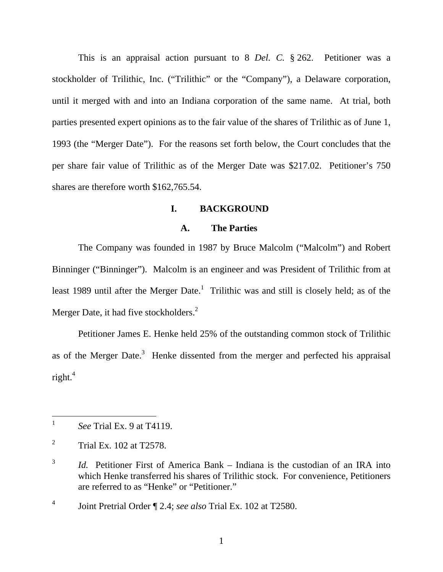This is an appraisal action pursuant to 8 *Del. C.* § 262. Petitioner was a stockholder of Trilithic, Inc. ("Trilithic" or the "Company"), a Delaware corporation, until it merged with and into an Indiana corporation of the same name. At trial, both parties presented expert opinions as to the fair value of the shares of Trilithic as of June 1, 1993 (the "Merger Date"). For the reasons set forth below, the Court concludes that the per share fair value of Trilithic as of the Merger Date was \$217.02. Petitioner's 750 shares are therefore worth \$162,765.54.

## **I. BACKGROUND**

## **A. The Parties**

The Company was founded in 1987 by Bruce Malcolm ("Malcolm") and Robert Binninger ("Binninger"). Malcolm is an engineer and was President of Trilithic from at least 1989 until after the Merger Date.<sup>1</sup> Trilithic was and still is closely held; as of the Merger Date, it had five stockholders.<sup>2</sup>

Petitioner James E. Henke held 25% of the outstanding common stock of Trilithic as of the Merger Date. $3$  Henke dissented from the merger and perfected his appraisal right. $4$ 

 $\mathbf{1}$ <sup>1</sup> *See* Trial Ex. 9 at T4119.

<sup>2</sup> Trial Ex. 102 at T2578.

<sup>&</sup>lt;sup>3</sup> *Id.* Petitioner First of America Bank – Indiana is the custodian of an IRA into which Henke transferred his shares of Trilithic stock. For convenience, Petitioners are referred to as "Henke" or "Petitioner."

<sup>4</sup> Joint Pretrial Order ¶ 2.4; *see also* Trial Ex. 102 at T2580.

<sup>1</sup>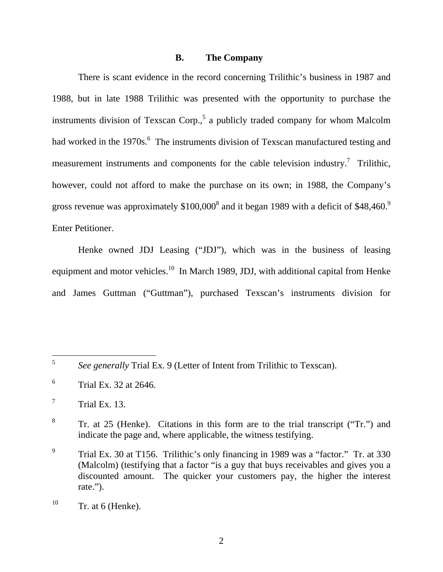#### **B. The Company**

There is scant evidence in the record concerning Trilithic's business in 1987 and 1988, but in late 1988 Trilithic was presented with the opportunity to purchase the instruments division of Texscan Corp.,<sup>5</sup> a publicly traded company for whom Malcolm had worked in the 1970s.<sup>6</sup> The instruments division of Texscan manufactured testing and measurement instruments and components for the cable television industry.<sup>7</sup> Trilithic, however, could not afford to make the purchase on its own; in 1988, the Company's gross revenue was approximately  $$100,000^8$  and it began 1989 with a deficit of \$48,460.<sup>9</sup> Enter Petitioner.

Henke owned JDJ Leasing ("JDJ"), which was in the business of leasing equipment and motor vehicles.<sup>10</sup> In March 1989, JDJ, with additional capital from Henke and James Guttman ("Guttman"), purchased Texscan's instruments division for

 $\sqrt{5}$ <sup>5</sup> *See generally* Trial Ex. 9 (Letter of Intent from Trilithic to Texscan).

<sup>6</sup> Trial Ex. 32 at 2646.

<sup>7</sup> Trial Ex. 13.

<sup>8</sup> Tr. at 25 (Henke). Citations in this form are to the trial transcript ("Tr.") and indicate the page and, where applicable, the witness testifying.

<sup>9</sup> Trial Ex. 30 at T156. Trilithic's only financing in 1989 was a "factor." Tr. at 330 (Malcolm) (testifying that a factor "is a guy that buys receivables and gives you a discounted amount. The quicker your customers pay, the higher the interest rate.").

 $^{10}$  Tr. at 6 (Henke).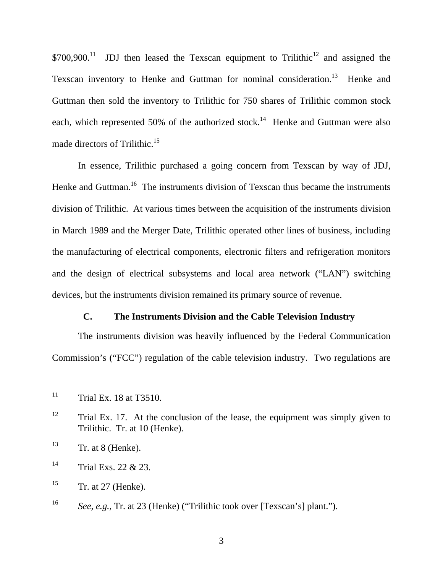$$700,900<sup>11</sup>$  JDJ then leased the Texscan equipment to Trilithic<sup>12</sup> and assigned the Texscan inventory to Henke and Guttman for nominal consideration.<sup>13</sup> Henke and Guttman then sold the inventory to Trilithic for 750 shares of Trilithic common stock each, which represented 50% of the authorized stock.<sup>14</sup> Henke and Guttman were also made directors of Trilithic.<sup>15</sup>

In essence, Trilithic purchased a going concern from Texscan by way of JDJ, Henke and Guttman.<sup>16</sup> The instruments division of Texscan thus became the instruments division of Trilithic. At various times between the acquisition of the instruments division in March 1989 and the Merger Date, Trilithic operated other lines of business, including the manufacturing of electrical components, electronic filters and refrigeration monitors and the design of electrical subsystems and local area network ("LAN") switching devices, but the instruments division remained its primary source of revenue.

# **C. The Instruments Division and the Cable Television Industry**

The instruments division was heavily influenced by the Federal Communication Commission's ("FCC") regulation of the cable television industry. Two regulations are

<sup>11</sup> Trial Ex. 18 at T3510.

 $12$  Trial Ex. 17. At the conclusion of the lease, the equipment was simply given to Trilithic. Tr. at 10 (Henke).

 $13$  Tr. at 8 (Henke).

 $14$  Trial Exs. 22 & 23.

 $15$  Tr. at 27 (Henke).

<sup>16</sup> *See, e.g.,* Tr. at 23 (Henke) ("Trilithic took over [Texscan's] plant.").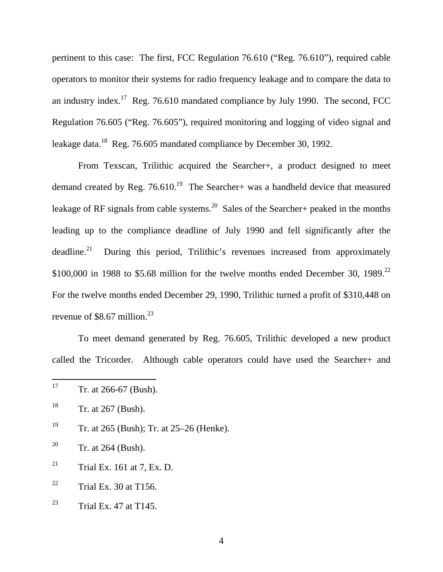pertinent to this case: The first, FCC Regulation 76.610 ("Reg. 76.610"), required cable operators to monitor their systems for radio frequency leakage and to compare the data to an industry index.<sup>17</sup> Reg. 76.610 mandated compliance by July 1990. The second, FCC Regulation 76.605 ("Reg. 76.605"), required monitoring and logging of video signal and leakage data.<sup>18</sup> Reg. 76.605 mandated compliance by December 30, 1992.

From Texscan, Trilithic acquired the Searcher+, a product designed to meet demand created by Reg.  $76.610^{19}$  The Searcher+ was a handheld device that measured leakage of RF signals from cable systems.<sup>20</sup> Sales of the Searcher+ peaked in the months leading up to the compliance deadline of July 1990 and fell significantly after the  $deadline.<sup>21</sup>$  During this period, Trilithic's revenues increased from approximately \$100,000 in 1988 to \$5.68 million for the twelve months ended December 30, 1989.<sup>22</sup> For the twelve months ended December 29, 1990, Trilithic turned a profit of \$310,448 on revenue of \$8.67 million. $^{23}$ 

To meet demand generated by Reg. 76.605, Trilithic developed a new product called the Tricorder. Although cable operators could have used the Searcher+ and

<sup>19</sup> Tr. at 265 (Bush); Tr. at 25–26 (Henke).

<sup>20</sup> Tr. at 264 (Bush).

- $21$  Trial Ex. 161 at 7, Ex. D.
- $22$  Trial Ex. 30 at T156.
- <sup>23</sup> Trial Ex. 47 at T145.

<sup>17</sup> Tr. at 266-67 (Bush).

 $18$  Tr. at 267 (Bush).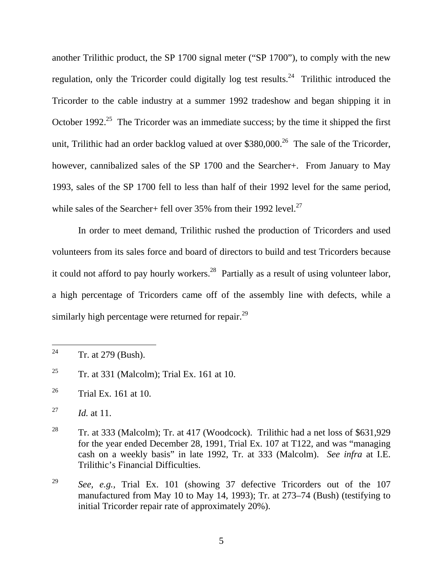another Trilithic product, the SP 1700 signal meter ("SP 1700"), to comply with the new regulation, only the Tricorder could digitally log test results.<sup>24</sup> Trilithic introduced the Tricorder to the cable industry at a summer 1992 tradeshow and began shipping it in October 1992.<sup>25</sup> The Tricorder was an immediate success; by the time it shipped the first unit, Trilithic had an order backlog valued at over \$380,000.<sup>26</sup> The sale of the Tricorder, however, cannibalized sales of the SP 1700 and the Searcher+. From January to May 1993, sales of the SP 1700 fell to less than half of their 1992 level for the same period, while sales of the Searcher+ fell over 35% from their 1992 level.<sup>27</sup>

In order to meet demand, Trilithic rushed the production of Tricorders and used volunteers from its sales force and board of directors to build and test Tricorders because it could not afford to pay hourly workers.<sup>28</sup> Partially as a result of using volunteer labor, a high percentage of Tricorders came off of the assembly line with defects, while a similarly high percentage were returned for repair.<sup>29</sup>

 $\overline{a}$ 

<sup>&</sup>lt;sup>24</sup> Tr. at 279 (Bush).

<sup>&</sup>lt;sup>25</sup> Tr. at 331 (Malcolm); Trial Ex. 161 at 10.

 $^{26}$  Trial Ex. 161 at 10.

<sup>27</sup> *Id.* at 11.

<sup>&</sup>lt;sup>28</sup> Tr. at 333 (Malcolm); Tr. at 417 (Woodcock). Trilithic had a net loss of \$631,929 for the year ended December 28, 1991, Trial Ex. 107 at T122, and was "managing cash on a weekly basis" in late 1992, Tr. at 333 (Malcolm). *See infra* at I.E. Trilithic's Financial Difficulties.

<sup>29</sup> *See, e.g.,* Trial Ex. 101 (showing 37 defective Tricorders out of the 107 manufactured from May 10 to May 14, 1993); Tr. at 273–74 (Bush) (testifying to initial Tricorder repair rate of approximately 20%).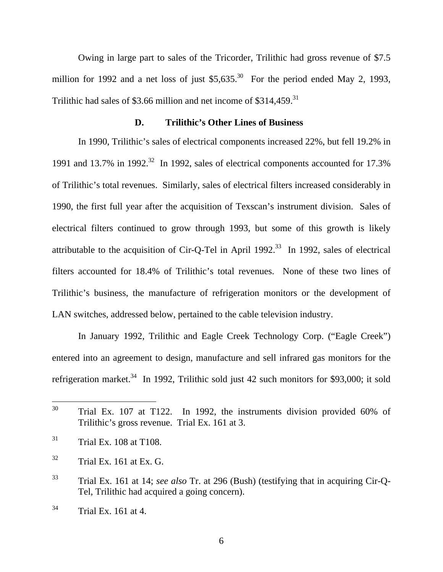Owing in large part to sales of the Tricorder, Trilithic had gross revenue of \$7.5 million for 1992 and a net loss of just  $$5,635$ <sup>30</sup> For the period ended May 2, 1993, Trilithic had sales of \$3.66 million and net income of  $$314.459$ <sup>31</sup>

#### **D. Trilithic's Other Lines of Business**

In 1990, Trilithic's sales of electrical components increased 22%, but fell 19.2% in 1991 and 13.7% in 1992.<sup>32</sup> In 1992, sales of electrical components accounted for 17.3% of Trilithic's total revenues. Similarly, sales of electrical filters increased considerably in 1990, the first full year after the acquisition of Texscan's instrument division. Sales of electrical filters continued to grow through 1993, but some of this growth is likely attributable to the acquisition of Cir-Q-Tel in April 1992.<sup>33</sup> In 1992, sales of electrical filters accounted for 18.4% of Trilithic's total revenues. None of these two lines of Trilithic's business, the manufacture of refrigeration monitors or the development of LAN switches, addressed below, pertained to the cable television industry.

In January 1992, Trilithic and Eagle Creek Technology Corp. ("Eagle Creek") entered into an agreement to design, manufacture and sell infrared gas monitors for the refrigeration market.<sup>34</sup> In 1992, Trilithic sold just 42 such monitors for \$93,000; it sold

 $31$  Trial Ex. 108 at T108.

<sup>30</sup> Trial Ex. 107 at T122. In 1992, the instruments division provided 60% of Trilithic's gross revenue. Trial Ex. 161 at 3.

 $32$  Trial Ex. 161 at Ex. G.

<sup>33</sup> Trial Ex. 161 at 14; *see also* Tr. at 296 (Bush) (testifying that in acquiring Cir-Q-Tel, Trilithic had acquired a going concern).

 $34$  Trial Ex. 161 at 4.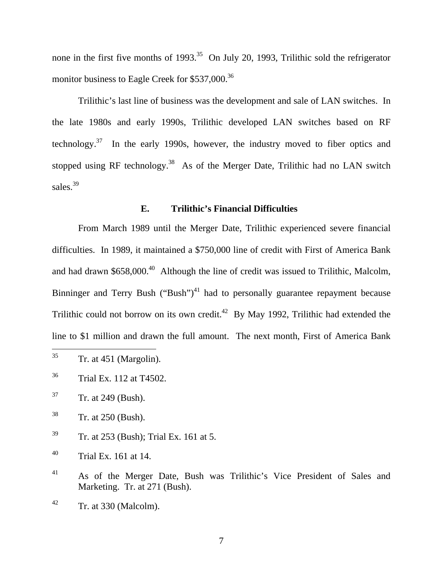none in the first five months of  $1993<sup>35</sup>$  On July 20, 1993, Trilithic sold the refrigerator monitor business to Eagle Creek for \$537,000.<sup>36</sup>

Trilithic's last line of business was the development and sale of LAN switches. In the late 1980s and early 1990s, Trilithic developed LAN switches based on RF technology.<sup>37</sup> In the early 1990s, however, the industry moved to fiber optics and stopped using RF technology.<sup>38</sup> As of the Merger Date, Trilithic had no LAN switch sales.<sup>39</sup>

#### **E. Trilithic's Financial Difficulties**

From March 1989 until the Merger Date, Trilithic experienced severe financial difficulties. In 1989, it maintained a \$750,000 line of credit with First of America Bank and had drawn  $$658,000.<sup>40</sup>$  Although the line of credit was issued to Trilithic, Malcolm, Binninger and Terry Bush ("Bush")<sup>41</sup> had to personally guarantee repayment because Trilithic could not borrow on its own credit.<sup>42</sup> By May 1992, Trilithic had extended the line to \$1 million and drawn the full amount. The next month, First of America Bank

- $35$  Tr. at 451 (Margolin).
- 36 Trial Ex. 112 at T4502.
- $37$  Tr. at 249 (Bush).

- 38 Tr. at 250 (Bush).
- $39$  Tr. at 253 (Bush); Trial Ex. 161 at 5.
- $^{40}$  Trial Ex. 161 at 14.
- 41 As of the Merger Date, Bush was Trilithic's Vice President of Sales and Marketing. Tr. at 271 (Bush).
- $42$  Tr. at 330 (Malcolm).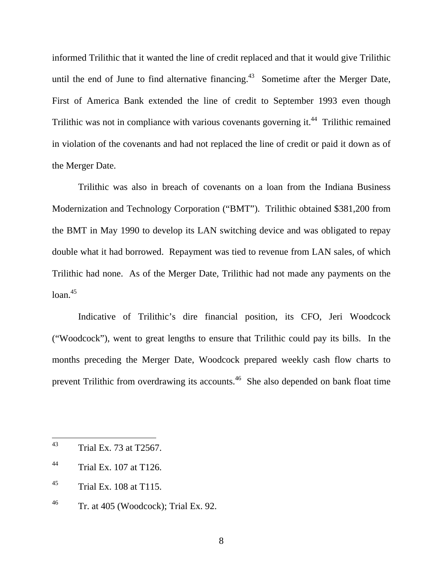informed Trilithic that it wanted the line of credit replaced and that it would give Trilithic until the end of June to find alternative financing.<sup>43</sup> Sometime after the Merger Date, First of America Bank extended the line of credit to September 1993 even though Trilithic was not in compliance with various covenants governing it.<sup>44</sup> Trilithic remained in violation of the covenants and had not replaced the line of credit or paid it down as of the Merger Date.

Trilithic was also in breach of covenants on a loan from the Indiana Business Modernization and Technology Corporation ("BMT"). Trilithic obtained \$381,200 from the BMT in May 1990 to develop its LAN switching device and was obligated to repay double what it had borrowed. Repayment was tied to revenue from LAN sales, of which Trilithic had none. As of the Merger Date, Trilithic had not made any payments on the  $1$ oan. $45$ 

Indicative of Trilithic's dire financial position, its CFO, Jeri Woodcock ("Woodcock"), went to great lengths to ensure that Trilithic could pay its bills. In the months preceding the Merger Date, Woodcock prepared weekly cash flow charts to prevent Trilithic from overdrawing its accounts.46 She also depended on bank float time

<sup>43</sup> 43 Trial Ex. 73 at T2567.

<sup>44</sup> Trial Ex. 107 at T126.

 $^{45}$  Trial Ex. 108 at T115.

 $^{46}$  Tr. at 405 (Woodcock); Trial Ex. 92.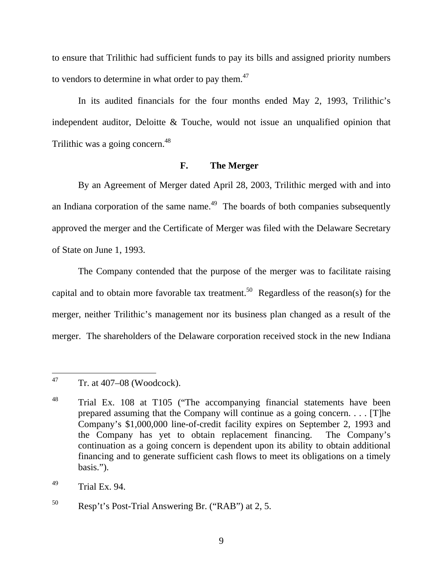to ensure that Trilithic had sufficient funds to pay its bills and assigned priority numbers to vendors to determine in what order to pay them.<sup>47</sup>

In its audited financials for the four months ended May 2, 1993, Trilithic's independent auditor, Deloitte & Touche, would not issue an unqualified opinion that Trilithic was a going concern.<sup>48</sup>

## **F. The Merger**

By an Agreement of Merger dated April 28, 2003, Trilithic merged with and into an Indiana corporation of the same name.<sup>49</sup> The boards of both companies subsequently approved the merger and the Certificate of Merger was filed with the Delaware Secretary of State on June 1, 1993.

The Company contended that the purpose of the merger was to facilitate raising capital and to obtain more favorable tax treatment.<sup>50</sup> Regardless of the reason(s) for the merger, neither Trilithic's management nor its business plan changed as a result of the merger. The shareholders of the Delaware corporation received stock in the new Indiana

47 Tr. at  $407-08$  (Woodcock).

<sup>&</sup>lt;sup>48</sup> Trial Ex. 108 at T105 ("The accompanying financial statements have been prepared assuming that the Company will continue as a going concern. . . . [T]he Company's \$1,000,000 line-of-credit facility expires on September 2, 1993 and the Company has yet to obtain replacement financing. The Company's continuation as a going concern is dependent upon its ability to obtain additional financing and to generate sufficient cash flows to meet its obligations on a timely basis.").

 $^{49}$  Trial Ex. 94.

 $50$  Resp't's Post-Trial Answering Br. ("RAB") at 2, 5.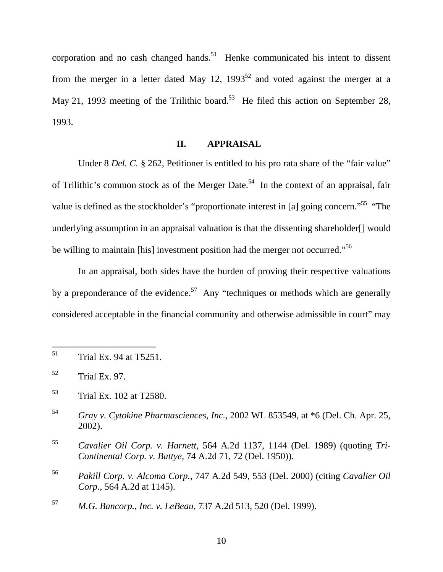corporation and no cash changed hands.<sup>51</sup> Henke communicated his intent to dissent from the merger in a letter dated May 12,  $1993^{52}$  and voted against the merger at a May 21, 1993 meeting of the Trilithic board.<sup>53</sup> He filed this action on September 28, 1993.

# **II. APPRAISAL**

Under 8 *Del. C.* § 262, Petitioner is entitled to his pro rata share of the "fair value" of Trilithic's common stock as of the Merger Date.<sup>54</sup> In the context of an appraisal, fair value is defined as the stockholder's "proportionate interest in [a] going concern."<sup>55</sup> "The underlying assumption in an appraisal valuation is that the dissenting shareholder[] would be willing to maintain [his] investment position had the merger not occurred."<sup>56</sup>

In an appraisal, both sides have the burden of proving their respective valuations by a preponderance of the evidence.<sup>57</sup> Any "techniques or methods which are generally considered acceptable in the financial community and otherwise admissible in court" may

<sup>51</sup> Trial Ex. 94 at T5251.

<sup>52</sup> Trial Ex. 97.

<sup>53</sup> Trial Ex. 102 at T2580.

<sup>54</sup> *Gray v. Cytokine Pharmasciences, Inc.*, 2002 WL 853549, at \*6 (Del. Ch. Apr. 25, 2002).

<sup>55</sup> *Cavalier Oil Corp. v. Harnett*, 564 A.2d 1137, 1144 (Del. 1989) (quoting *Tri-Continental Corp. v. Battye*, 74 A.2d 71, 72 (Del. 1950)).

<sup>56</sup> *Pakill Corp. v. Alcoma Corp.*, 747 A.2d 549, 553 (Del. 2000) (citing *Cavalier Oil Corp.*, 564 A.2d at 1145).

<sup>57</sup> *M.G. Bancorp., Inc. v. LeBeau*, 737 A.2d 513, 520 (Del. 1999).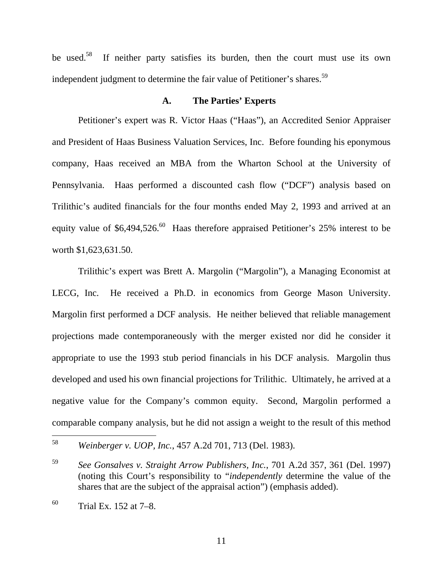be used.<sup>58</sup> If neither party satisfies its burden, then the court must use its own independent judgment to determine the fair value of Petitioner's shares.<sup>59</sup>

#### **A. The Parties' Experts**

Petitioner's expert was R. Victor Haas ("Haas"), an Accredited Senior Appraiser and President of Haas Business Valuation Services, Inc. Before founding his eponymous company, Haas received an MBA from the Wharton School at the University of Pennsylvania. Haas performed a discounted cash flow ("DCF") analysis based on Trilithic's audited financials for the four months ended May 2, 1993 and arrived at an equity value of  $$6,494,526$ .<sup>60</sup> Haas therefore appraised Petitioner's 25% interest to be worth \$1,623,631.50.

Trilithic's expert was Brett A. Margolin ("Margolin"), a Managing Economist at LECG, Inc. He received a Ph.D. in economics from George Mason University. Margolin first performed a DCF analysis. He neither believed that reliable management projections made contemporaneously with the merger existed nor did he consider it appropriate to use the 1993 stub period financials in his DCF analysis. Margolin thus developed and used his own financial projections for Trilithic. Ultimately, he arrived at a negative value for the Company's common equity. Second, Margolin performed a comparable company analysis, but he did not assign a weight to the result of this method

<sup>58</sup> <sup>58</sup> *Weinberger v. UOP, Inc.*, 457 A.2d 701, 713 (Del. 1983).

<sup>59</sup> *See Gonsalves v. Straight Arrow Publishers, Inc.*, 701 A.2d 357, 361 (Del. 1997) (noting this Court's responsibility to "*independently* determine the value of the shares that are the subject of the appraisal action") (emphasis added).

 $^{60}$  Trial Ex. 152 at 7–8.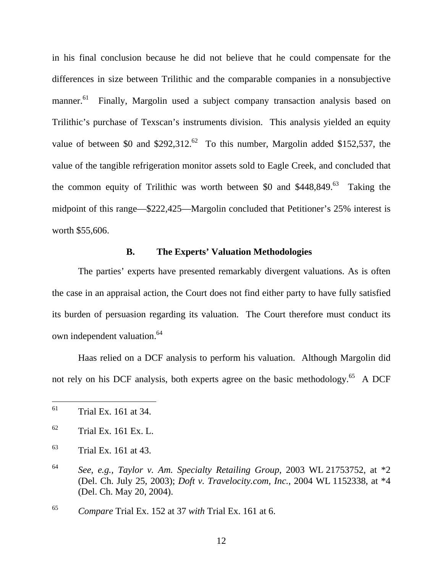in his final conclusion because he did not believe that he could compensate for the differences in size between Trilithic and the comparable companies in a nonsubjective manner.<sup>61</sup> Finally, Margolin used a subject company transaction analysis based on Trilithic's purchase of Texscan's instruments division. This analysis yielded an equity value of between \$0 and \$292,312.<sup>62</sup> To this number, Margolin added \$152,537, the value of the tangible refrigeration monitor assets sold to Eagle Creek, and concluded that the common equity of Trilithic was worth between \$0 and  $$448,849<sup>63</sup>$  Taking the midpoint of this range—\$222,425—Margolin concluded that Petitioner's 25% interest is worth \$55,606.

## **B. The Experts' Valuation Methodologies**

The parties' experts have presented remarkably divergent valuations. As is often the case in an appraisal action, the Court does not find either party to have fully satisfied its burden of persuasion regarding its valuation. The Court therefore must conduct its own independent valuation.<sup>64</sup>

Haas relied on a DCF analysis to perform his valuation. Although Margolin did not rely on his DCF analysis, both experts agree on the basic methodology.<sup>65</sup> A DCF

<sup>65</sup> *Compare* Trial Ex. 152 at 37 *with* Trial Ex. 161 at 6.

<sup>61</sup> 61 Trial Ex. 161 at 34.

 $62$  Trial Ex. 161 Ex. L.

 $63$  Trial Ex. 161 at 43.

<sup>64</sup> *See, e.g., Taylor v. Am. Specialty Retailing Group*, 2003 WL 21753752, at \*2 (Del. Ch. July 25, 2003); *Doft v. Travelocity.com, Inc.*, 2004 WL 1152338, at \*4 (Del. Ch. May 20, 2004).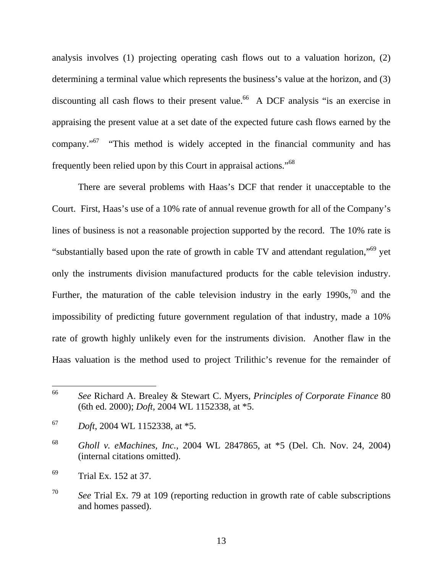analysis involves (1) projecting operating cash flows out to a valuation horizon, (2) determining a terminal value which represents the business's value at the horizon, and (3) discounting all cash flows to their present value.<sup>66</sup> A DCF analysis "is an exercise in appraising the present value at a set date of the expected future cash flows earned by the company."67 "This method is widely accepted in the financial community and has frequently been relied upon by this Court in appraisal actions."68

There are several problems with Haas's DCF that render it unacceptable to the Court. First, Haas's use of a 10% rate of annual revenue growth for all of the Company's lines of business is not a reasonable projection supported by the record. The 10% rate is "substantially based upon the rate of growth in cable TV and attendant regulation,"69 yet only the instruments division manufactured products for the cable television industry. Further, the maturation of the cable television industry in the early  $1990s$ ,  $^{70}$  and the impossibility of predicting future government regulation of that industry, made a 10% rate of growth highly unlikely even for the instruments division. Another flaw in the Haas valuation is the method used to project Trilithic's revenue for the remainder of

<sup>66</sup> <sup>66</sup> *See* Richard A. Brealey & Stewart C. Myers, *Principles of Corporate Finance* 80 (6th ed. 2000); *Doft*, 2004 WL 1152338, at \*5.

<sup>67</sup> *Doft*, 2004 WL 1152338, at \*5.

<sup>68</sup> *Gholl v. eMachines, Inc.*, 2004 WL 2847865, at \*5 (Del. Ch. Nov. 24, 2004) (internal citations omitted).

<sup>69</sup> Trial Ex. 152 at 37.

<sup>70</sup> *See* Trial Ex. 79 at 109 (reporting reduction in growth rate of cable subscriptions and homes passed).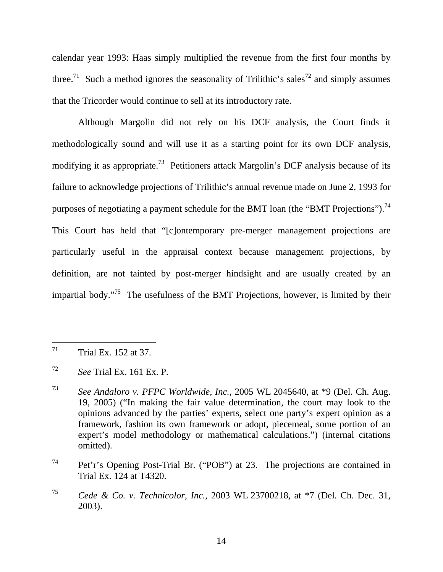calendar year 1993: Haas simply multiplied the revenue from the first four months by three.<sup>71</sup> Such a method ignores the seasonality of Trilithic's sales<sup>72</sup> and simply assumes that the Tricorder would continue to sell at its introductory rate.

Although Margolin did not rely on his DCF analysis, the Court finds it methodologically sound and will use it as a starting point for its own DCF analysis, modifying it as appropriate.<sup>73</sup> Petitioners attack Margolin's DCF analysis because of its failure to acknowledge projections of Trilithic's annual revenue made on June 2, 1993 for purposes of negotiating a payment schedule for the BMT loan (the "BMT Projections").<sup>74</sup> This Court has held that "[c]ontemporary pre-merger management projections are particularly useful in the appraisal context because management projections, by definition, are not tainted by post-merger hindsight and are usually created by an impartial body."<sup>75</sup> The usefulness of the BMT Projections, however, is limited by their

<sup>71</sup> Trial Ex. 152 at 37.

<sup>72</sup> *See* Trial Ex. 161 Ex. P.

<sup>73</sup> *See Andaloro v. PFPC Worldwide, Inc.*, 2005 WL 2045640, at \*9 (Del. Ch. Aug. 19, 2005) ("In making the fair value determination, the court may look to the opinions advanced by the parties' experts, select one party's expert opinion as a framework, fashion its own framework or adopt, piecemeal, some portion of an expert's model methodology or mathematical calculations.") (internal citations omitted).

<sup>74</sup> Pet'r's Opening Post-Trial Br. ("POB") at 23. The projections are contained in Trial Ex. 124 at T4320.

<sup>75</sup> *Cede & Co. v. Technicolor, Inc.*, 2003 WL 23700218, at \*7 (Del. Ch. Dec. 31, 2003).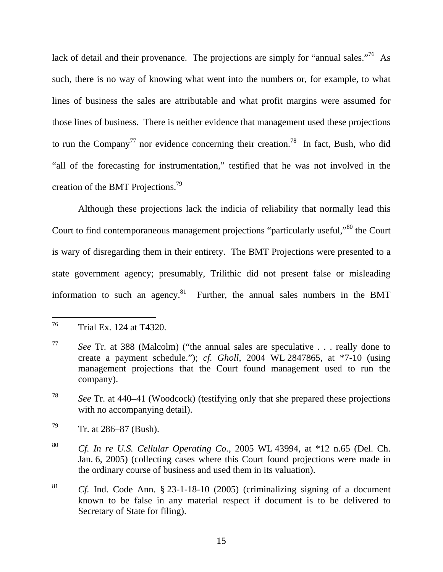lack of detail and their provenance. The projections are simply for "annual sales."<sup>76</sup> As such, there is no way of knowing what went into the numbers or, for example, to what lines of business the sales are attributable and what profit margins were assumed for those lines of business. There is neither evidence that management used these projections to run the Company<sup>77</sup> nor evidence concerning their creation.<sup>78</sup> In fact, Bush, who did "all of the forecasting for instrumentation," testified that he was not involved in the creation of the BMT Projections.79

Although these projections lack the indicia of reliability that normally lead this Court to find contemporaneous management projections "particularly useful,"<sup>80</sup> the Court is wary of disregarding them in their entirety. The BMT Projections were presented to a state government agency; presumably, Trilithic did not present false or misleading information to such an agency.<sup>81</sup> Further, the annual sales numbers in the BMT

 $\overline{a}$ 

<sup>76</sup> Trial Ex. 124 at T4320.

<sup>77</sup> *See* Tr. at 388 (Malcolm) ("the annual sales are speculative . . . really done to create a payment schedule."); *cf. Gholl*, 2004 WL 2847865, at \*7-10 (using management projections that the Court found management used to run the company).

<sup>78</sup> *See* Tr. at 440–41 (Woodcock) (testifying only that she prepared these projections with no accompanying detail).

 $79$  Tr. at 286–87 (Bush).

<sup>80</sup> *Cf. In re U.S. Cellular Operating Co.*, 2005 WL 43994, at \*12 n.65 (Del. Ch. Jan. 6, 2005) (collecting cases where this Court found projections were made in the ordinary course of business and used them in its valuation).

<sup>81</sup> *Cf.* Ind. Code Ann. § 23-1-18-10 (2005) (criminalizing signing of a document known to be false in any material respect if document is to be delivered to Secretary of State for filing).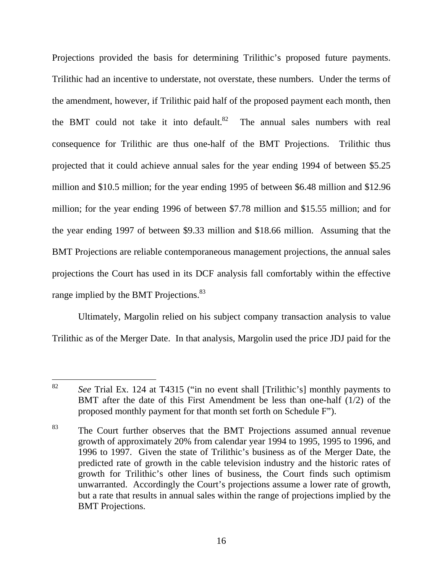Projections provided the basis for determining Trilithic's proposed future payments. Trilithic had an incentive to understate, not overstate, these numbers. Under the terms of the amendment, however, if Trilithic paid half of the proposed payment each month, then the BMT could not take it into default. $82$  The annual sales numbers with real consequence for Trilithic are thus one-half of the BMT Projections. Trilithic thus projected that it could achieve annual sales for the year ending 1994 of between \$5.25 million and \$10.5 million; for the year ending 1995 of between \$6.48 million and \$12.96 million; for the year ending 1996 of between \$7.78 million and \$15.55 million; and for the year ending 1997 of between \$9.33 million and \$18.66 million. Assuming that the BMT Projections are reliable contemporaneous management projections, the annual sales projections the Court has used in its DCF analysis fall comfortably within the effective range implied by the BMT Projections.<sup>83</sup>

Ultimately, Margolin relied on his subject company transaction analysis to value Trilithic as of the Merger Date. In that analysis, Margolin used the price JDJ paid for the

<sup>82</sup> See Trial Ex. 124 at T4315 ("in no event shall [Trilithic's] monthly payments to BMT after the date of this First Amendment be less than one-half (1/2) of the proposed monthly payment for that month set forth on Schedule F").

<sup>&</sup>lt;sup>83</sup> The Court further observes that the BMT Projections assumed annual revenue growth of approximately 20% from calendar year 1994 to 1995, 1995 to 1996, and 1996 to 1997. Given the state of Trilithic's business as of the Merger Date, the predicted rate of growth in the cable television industry and the historic rates of growth for Trilithic's other lines of business, the Court finds such optimism unwarranted. Accordingly the Court's projections assume a lower rate of growth, but a rate that results in annual sales within the range of projections implied by the BMT Projections.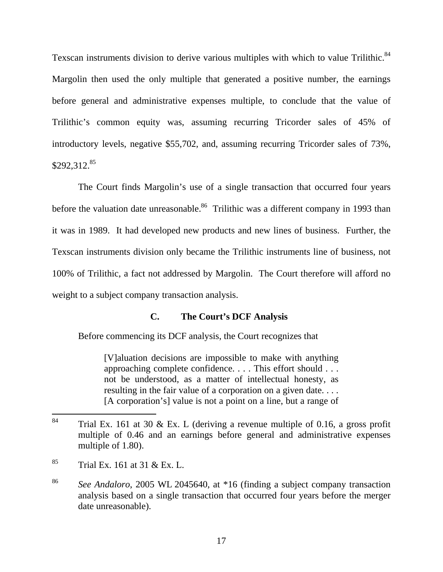Texscan instruments division to derive various multiples with which to value Trilithic.<sup>84</sup> Margolin then used the only multiple that generated a positive number, the earnings before general and administrative expenses multiple, to conclude that the value of Trilithic's common equity was, assuming recurring Tricorder sales of 45% of introductory levels, negative \$55,702, and, assuming recurring Tricorder sales of 73%, \$292,312.<sup>85</sup>

The Court finds Margolin's use of a single transaction that occurred four years before the valuation date unreasonable.<sup>86</sup> Trilithic was a different company in 1993 than it was in 1989. It had developed new products and new lines of business. Further, the Texscan instruments division only became the Trilithic instruments line of business, not 100% of Trilithic, a fact not addressed by Margolin. The Court therefore will afford no weight to a subject company transaction analysis.

# **C. The Court's DCF Analysis**

Before commencing its DCF analysis, the Court recognizes that

[V]aluation decisions are impossible to make with anything approaching complete confidence. . . . This effort should . . . not be understood, as a matter of intellectual honesty, as resulting in the fair value of a corporation on a given date.... [A corporation's] value is not a point on a line, but a range of

- $85$  Trial Ex. 161 at 31 & Ex. L.
- <sup>86</sup> *See Andaloro*, 2005 WL 2045640, at \*16 (finding a subject company transaction analysis based on a single transaction that occurred four years before the merger date unreasonable).

<sup>84</sup> Trial Ex. 161 at 30  $&$  Ex. L (deriving a revenue multiple of 0.16, a gross profit multiple of 0.46 and an earnings before general and administrative expenses multiple of 1.80).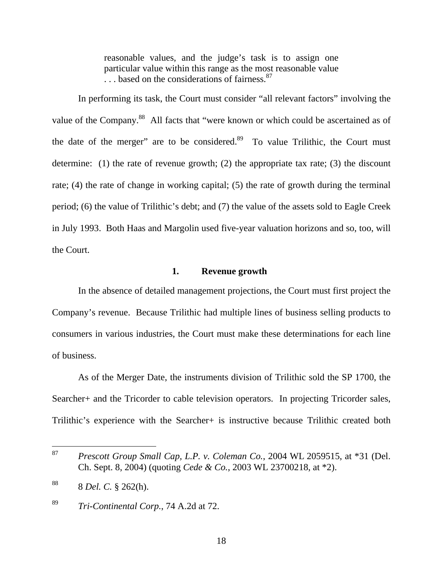reasonable values, and the judge's task is to assign one particular value within this range as the most reasonable value ... based on the considerations of fairness.<sup>87</sup>

In performing its task, the Court must consider "all relevant factors" involving the value of the Company.<sup>88</sup> All facts that "were known or which could be ascertained as of the date of the merger" are to be considered. $89$  To value Trilithic, the Court must determine: (1) the rate of revenue growth; (2) the appropriate tax rate; (3) the discount rate; (4) the rate of change in working capital; (5) the rate of growth during the terminal period; (6) the value of Trilithic's debt; and (7) the value of the assets sold to Eagle Creek in July 1993. Both Haas and Margolin used five-year valuation horizons and so, too, will the Court.

## **1. Revenue growth**

In the absence of detailed management projections, the Court must first project the Company's revenue. Because Trilithic had multiple lines of business selling products to consumers in various industries, the Court must make these determinations for each line of business.

As of the Merger Date, the instruments division of Trilithic sold the SP 1700, the Searcher+ and the Tricorder to cable television operators. In projecting Tricorder sales, Trilithic's experience with the Searcher+ is instructive because Trilithic created both

<sup>87</sup> <sup>87</sup> *Prescott Group Small Cap, L.P. v. Coleman Co.*, 2004 WL 2059515, at \*31 (Del. Ch. Sept. 8, 2004) (quoting *Cede & Co.*, 2003 WL 23700218, at \*2).

<sup>88 8</sup> *Del. C.* § 262(h).

<sup>89</sup> *Tri-Continental Corp.*, 74 A.2d at 72.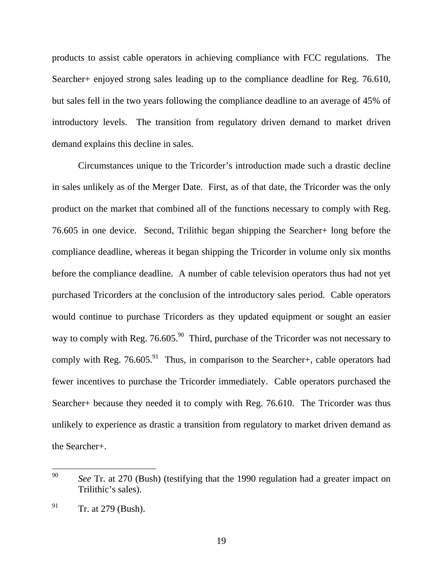products to assist cable operators in achieving compliance with FCC regulations. The Searcher+ enjoyed strong sales leading up to the compliance deadline for Reg. 76.610, but sales fell in the two years following the compliance deadline to an average of 45% of introductory levels. The transition from regulatory driven demand to market driven demand explains this decline in sales.

Circumstances unique to the Tricorder's introduction made such a drastic decline in sales unlikely as of the Merger Date. First, as of that date, the Tricorder was the only product on the market that combined all of the functions necessary to comply with Reg. 76.605 in one device. Second, Trilithic began shipping the Searcher+ long before the compliance deadline, whereas it began shipping the Tricorder in volume only six months before the compliance deadline. A number of cable television operators thus had not yet purchased Tricorders at the conclusion of the introductory sales period. Cable operators would continue to purchase Tricorders as they updated equipment or sought an easier way to comply with Reg.  $76.605<sup>90</sup>$  Third, purchase of the Tricorder was not necessary to comply with Reg.  $76.605<sup>91</sup>$  Thus, in comparison to the Searcher+, cable operators had fewer incentives to purchase the Tricorder immediately. Cable operators purchased the Searcher+ because they needed it to comply with Reg. 76.610. The Tricorder was thus unlikely to experience as drastic a transition from regulatory to market driven demand as the Searcher+.

<sup>90</sup> See Tr. at 270 (Bush) (testifying that the 1990 regulation had a greater impact on Trilithic's sales).

 $^{91}$  Tr. at 279 (Bush).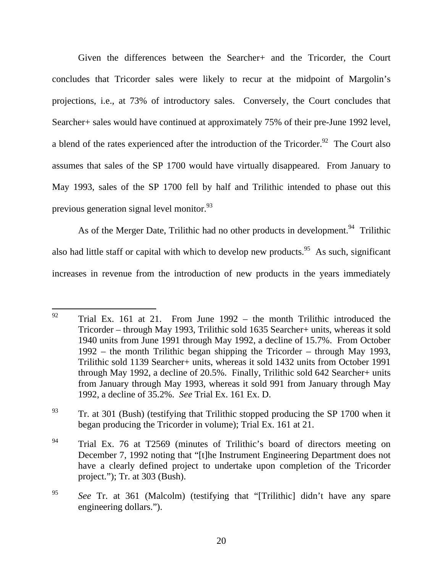Given the differences between the Searcher+ and the Tricorder, the Court concludes that Tricorder sales were likely to recur at the midpoint of Margolin's projections, i.e., at 73% of introductory sales. Conversely, the Court concludes that Searcher+ sales would have continued at approximately 75% of their pre-June 1992 level, a blend of the rates experienced after the introduction of the Tricorder.<sup>92</sup> The Court also assumes that sales of the SP 1700 would have virtually disappeared. From January to May 1993, sales of the SP 1700 fell by half and Trilithic intended to phase out this previous generation signal level monitor.<sup>93</sup>

As of the Merger Date, Trilithic had no other products in development.<sup>94</sup> Trilithic also had little staff or capital with which to develop new products.<sup>95</sup> As such, significant increases in revenue from the introduction of new products in the years immediately

<sup>92</sup> 92 Trial Ex. 161 at 21. From June 1992 – the month Trilithic introduced the Tricorder – through May 1993, Trilithic sold 1635 Searcher+ units, whereas it sold 1940 units from June 1991 through May 1992, a decline of 15.7%. From October 1992 – the month Trilithic began shipping the Tricorder – through May 1993, Trilithic sold 1139 Searcher+ units, whereas it sold 1432 units from October 1991 through May 1992, a decline of 20.5%. Finally, Trilithic sold 642 Searcher+ units from January through May 1993, whereas it sold 991 from January through May 1992, a decline of 35.2%. *See* Trial Ex. 161 Ex. D.

 $^{93}$  Tr. at 301 (Bush) (testifying that Trilithic stopped producing the SP 1700 when it began producing the Tricorder in volume); Trial Ex. 161 at 21.

<sup>&</sup>lt;sup>94</sup> Trial Ex. 76 at T2569 (minutes of Trilithic's board of directors meeting on December 7, 1992 noting that "[t]he Instrument Engineering Department does not have a clearly defined project to undertake upon completion of the Tricorder project."); Tr. at 303 (Bush).

<sup>95</sup> *See* Tr. at 361 (Malcolm) (testifying that "[Trilithic] didn't have any spare engineering dollars.").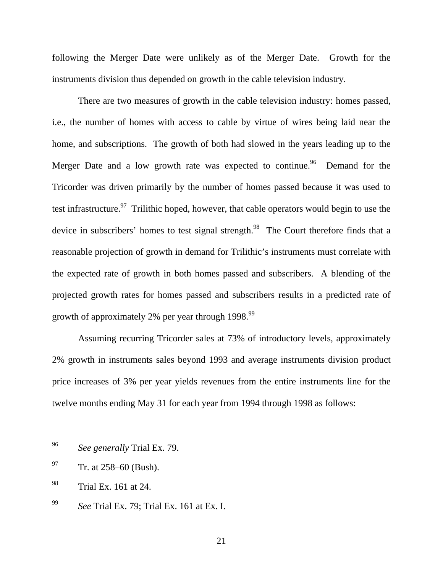following the Merger Date were unlikely as of the Merger Date. Growth for the instruments division thus depended on growth in the cable television industry.

There are two measures of growth in the cable television industry: homes passed, i.e., the number of homes with access to cable by virtue of wires being laid near the home, and subscriptions. The growth of both had slowed in the years leading up to the Merger Date and a low growth rate was expected to continue.<sup>96</sup> Demand for the Tricorder was driven primarily by the number of homes passed because it was used to test infrastructure.<sup>97</sup> Trilithic hoped, however, that cable operators would begin to use the device in subscribers' homes to test signal strength.<sup>98</sup> The Court therefore finds that a reasonable projection of growth in demand for Trilithic's instruments must correlate with the expected rate of growth in both homes passed and subscribers. A blending of the projected growth rates for homes passed and subscribers results in a predicted rate of growth of approximately 2% per year through 1998.<sup>99</sup>

Assuming recurring Tricorder sales at 73% of introductory levels, approximately 2% growth in instruments sales beyond 1993 and average instruments division product price increases of 3% per year yields revenues from the entire instruments line for the twelve months ending May 31 for each year from 1994 through 1998 as follows:

<sup>96</sup> See generally Trial Ex. 79.

 $^{97}$  Tr. at 258–60 (Bush).

<sup>98</sup> Trial Ex. 161 at 24.

<sup>99</sup> *See* Trial Ex. 79; Trial Ex. 161 at Ex. I.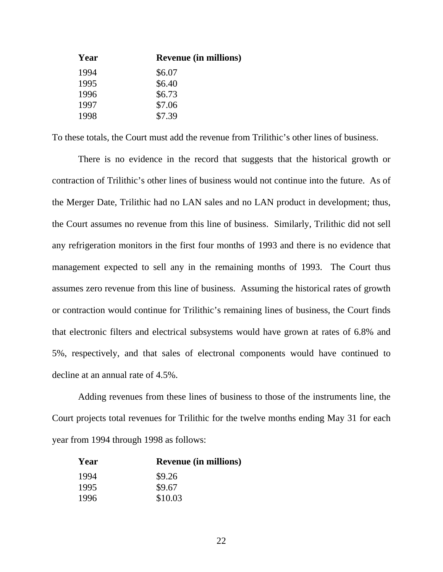| <b>Revenue (in millions)</b> |
|------------------------------|
| \$6.07                       |
| \$6.40                       |
| \$6.73                       |
| \$7.06                       |
| \$7.39                       |
|                              |

To these totals, the Court must add the revenue from Trilithic's other lines of business.

There is no evidence in the record that suggests that the historical growth or contraction of Trilithic's other lines of business would not continue into the future. As of the Merger Date, Trilithic had no LAN sales and no LAN product in development; thus, the Court assumes no revenue from this line of business. Similarly, Trilithic did not sell any refrigeration monitors in the first four months of 1993 and there is no evidence that management expected to sell any in the remaining months of 1993. The Court thus assumes zero revenue from this line of business. Assuming the historical rates of growth or contraction would continue for Trilithic's remaining lines of business, the Court finds that electronic filters and electrical subsystems would have grown at rates of 6.8% and 5%, respectively, and that sales of electronal components would have continued to decline at an annual rate of 4.5%.

Adding revenues from these lines of business to those of the instruments line, the Court projects total revenues for Trilithic for the twelve months ending May 31 for each year from 1994 through 1998 as follows:

| Year | <b>Revenue (in millions)</b> |
|------|------------------------------|
| 1994 | \$9.26                       |
| 1995 | \$9.67                       |
| 1996 | \$10.03                      |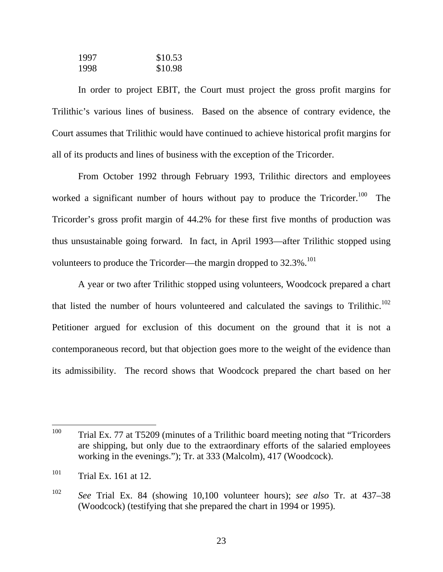| 1997 | \$10.53 |
|------|---------|
| 1998 | \$10.98 |

In order to project EBIT, the Court must project the gross profit margins for Trilithic's various lines of business. Based on the absence of contrary evidence, the Court assumes that Trilithic would have continued to achieve historical profit margins for all of its products and lines of business with the exception of the Tricorder.

From October 1992 through February 1993, Trilithic directors and employees worked a significant number of hours without pay to produce the Tricorder.<sup>100</sup> The Tricorder's gross profit margin of 44.2% for these first five months of production was thus unsustainable going forward. In fact, in April 1993—after Trilithic stopped using volunteers to produce the Tricorder—the margin dropped to  $32.3\%$ .<sup>101</sup>

A year or two after Trilithic stopped using volunteers, Woodcock prepared a chart that listed the number of hours volunteered and calculated the savings to Trilithic.<sup>102</sup> Petitioner argued for exclusion of this document on the ground that it is not a contemporaneous record, but that objection goes more to the weight of the evidence than its admissibility. The record shows that Woodcock prepared the chart based on her

<sup>100</sup> Trial Ex. 77 at T5209 (minutes of a Trilithic board meeting noting that "Tricorders" are shipping, but only due to the extraordinary efforts of the salaried employees working in the evenings."); Tr. at 333 (Malcolm), 417 (Woodcock).

<sup>&</sup>lt;sup>101</sup> Trial Ex. 161 at 12.

<sup>102</sup> *See* Trial Ex. 84 (showing 10,100 volunteer hours); *see also* Tr. at 437–38 (Woodcock) (testifying that she prepared the chart in 1994 or 1995).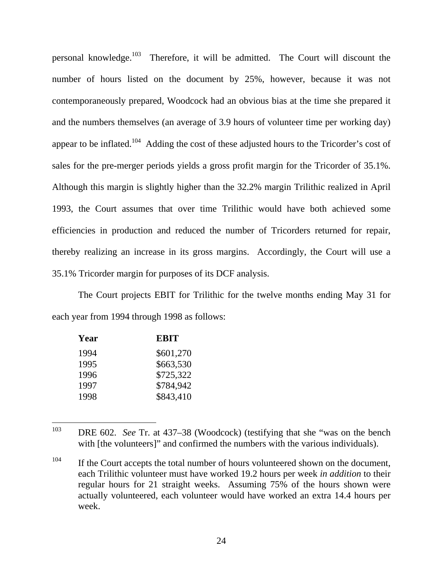personal knowledge.103 Therefore, it will be admitted. The Court will discount the number of hours listed on the document by 25%, however, because it was not contemporaneously prepared, Woodcock had an obvious bias at the time she prepared it and the numbers themselves (an average of 3.9 hours of volunteer time per working day) appear to be inflated.<sup>104</sup> Adding the cost of these adjusted hours to the Tricorder's cost of sales for the pre-merger periods yields a gross profit margin for the Tricorder of 35.1%. Although this margin is slightly higher than the 32.2% margin Trilithic realized in April 1993, the Court assumes that over time Trilithic would have both achieved some efficiencies in production and reduced the number of Tricorders returned for repair, thereby realizing an increase in its gross margins. Accordingly, the Court will use a 35.1% Tricorder margin for purposes of its DCF analysis.

The Court projects EBIT for Trilithic for the twelve months ending May 31 for each year from 1994 through 1998 as follows:

| Year | EBIT      |
|------|-----------|
| 1994 | \$601,270 |
| 1995 | \$663,530 |
| 1996 | \$725,322 |
| 1997 | \$784,942 |
| 1998 | \$843,410 |

<sup>103</sup> DRE 602. *See* Tr. at 437–38 (Woodcock) (testifying that she "was on the bench with [the volunteers]" and confirmed the numbers with the various individuals).

 $104$  If the Court accepts the total number of hours volunteered shown on the document, each Trilithic volunteer must have worked 19.2 hours per week *in addition* to their regular hours for 21 straight weeks. Assuming 75% of the hours shown were actually volunteered, each volunteer would have worked an extra 14.4 hours per week.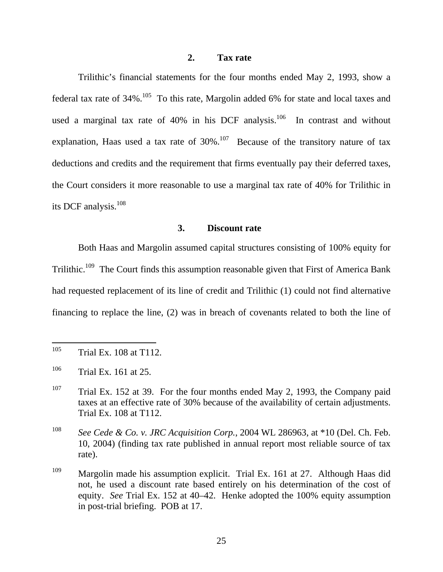## **2. Tax rate**

Trilithic's financial statements for the four months ended May 2, 1993, show a federal tax rate of  $34\%$ .<sup>105</sup> To this rate, Margolin added 6% for state and local taxes and used a marginal tax rate of  $40\%$  in his DCF analysis.<sup>106</sup> In contrast and without explanation, Haas used a tax rate of  $30\%$ .<sup>107</sup> Because of the transitory nature of tax deductions and credits and the requirement that firms eventually pay their deferred taxes, the Court considers it more reasonable to use a marginal tax rate of 40% for Trilithic in its DCF analysis.<sup>108</sup>

# **3. Discount rate**

Both Haas and Margolin assumed capital structures consisting of 100% equity for Trilithic.<sup>109</sup> The Court finds this assumption reasonable given that First of America Bank had requested replacement of its line of credit and Trilithic (1) could not find alternative financing to replace the line, (2) was in breach of covenants related to both the line of

<sup>105</sup> 105 Trial Ex. 108 at T112.

 $106$  Trial Ex. 161 at 25.

<sup>&</sup>lt;sup>107</sup> Trial Ex. 152 at 39. For the four months ended May 2, 1993, the Company paid taxes at an effective rate of 30% because of the availability of certain adjustments. Trial Ex. 108 at T112.

<sup>108</sup> *See Cede & Co. v. JRC Acquisition Corp.*, 2004 WL 286963, at \*10 (Del. Ch. Feb. 10, 2004) (finding tax rate published in annual report most reliable source of tax rate).

<sup>109</sup> Margolin made his assumption explicit. Trial Ex. 161 at 27. Although Haas did not, he used a discount rate based entirely on his determination of the cost of equity. *See* Trial Ex. 152 at 40–42. Henke adopted the 100% equity assumption in post-trial briefing. POB at 17.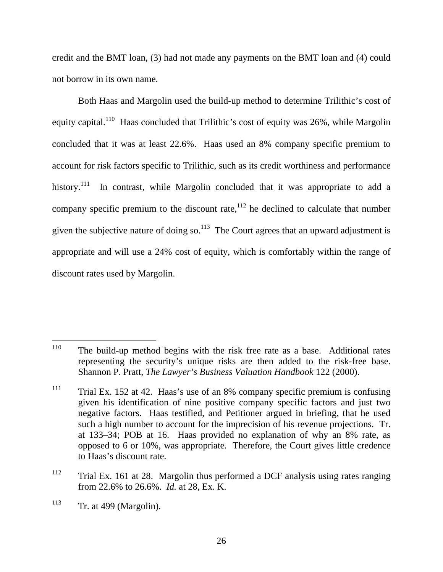credit and the BMT loan, (3) had not made any payments on the BMT loan and (4) could not borrow in its own name.

Both Haas and Margolin used the build-up method to determine Trilithic's cost of equity capital.<sup>110</sup> Haas concluded that Trilithic's cost of equity was 26%, while Margolin concluded that it was at least 22.6%. Haas used an 8% company specific premium to account for risk factors specific to Trilithic, such as its credit worthiness and performance history.<sup>111</sup> In contrast, while Margolin concluded that it was appropriate to add a company specific premium to the discount rate, $112$  he declined to calculate that number given the subjective nature of doing so.<sup>113</sup> The Court agrees that an upward adjustment is appropriate and will use a 24% cost of equity, which is comfortably within the range of discount rates used by Margolin.

<sup>110</sup> The build-up method begins with the risk free rate as a base. Additional rates representing the security's unique risks are then added to the risk-free base. Shannon P. Pratt, *The Lawyer's Business Valuation Handbook* 122 (2000).

 $111$  Trial Ex. 152 at 42. Haas's use of an 8% company specific premium is confusing given his identification of nine positive company specific factors and just two negative factors. Haas testified, and Petitioner argued in briefing, that he used such a high number to account for the imprecision of his revenue projections. Tr. at 133–34; POB at 16. Haas provided no explanation of why an 8% rate, as opposed to 6 or 10%, was appropriate. Therefore, the Court gives little credence to Haas's discount rate.

 $112$  Trial Ex. 161 at 28. Margolin thus performed a DCF analysis using rates ranging from 22.6% to 26.6%. *Id.* at 28, Ex. K.

 $113$  Tr. at 499 (Margolin).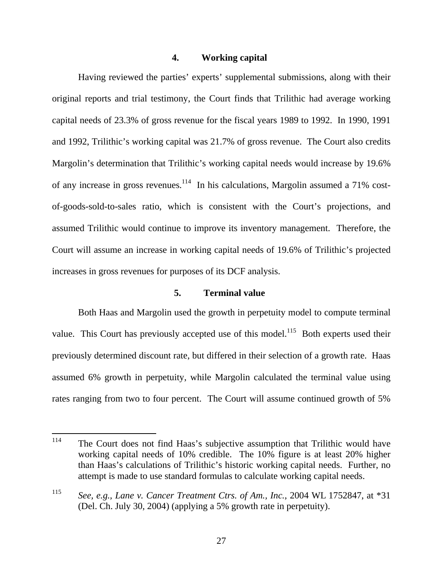## **4. Working capital**

Having reviewed the parties' experts' supplemental submissions, along with their original reports and trial testimony, the Court finds that Trilithic had average working capital needs of 23.3% of gross revenue for the fiscal years 1989 to 1992. In 1990, 1991 and 1992, Trilithic's working capital was 21.7% of gross revenue. The Court also credits Margolin's determination that Trilithic's working capital needs would increase by 19.6% of any increase in gross revenues.<sup>114</sup> In his calculations, Margolin assumed a 71% costof-goods-sold-to-sales ratio, which is consistent with the Court's projections, and assumed Trilithic would continue to improve its inventory management. Therefore, the Court will assume an increase in working capital needs of 19.6% of Trilithic's projected increases in gross revenues for purposes of its DCF analysis.

#### **5. Terminal value**

Both Haas and Margolin used the growth in perpetuity model to compute terminal value. This Court has previously accepted use of this model.<sup>115</sup> Both experts used their previously determined discount rate, but differed in their selection of a growth rate. Haas assumed 6% growth in perpetuity, while Margolin calculated the terminal value using rates ranging from two to four percent. The Court will assume continued growth of 5%

<sup>114</sup> The Court does not find Haas's subjective assumption that Trilithic would have working capital needs of 10% credible. The 10% figure is at least 20% higher than Haas's calculations of Trilithic's historic working capital needs. Further, no attempt is made to use standard formulas to calculate working capital needs.

<sup>115</sup> *See, e.g., Lane v. Cancer Treatment Ctrs. of Am., Inc.*, 2004 WL 1752847, at \*31 (Del. Ch. July 30, 2004) (applying a 5% growth rate in perpetuity).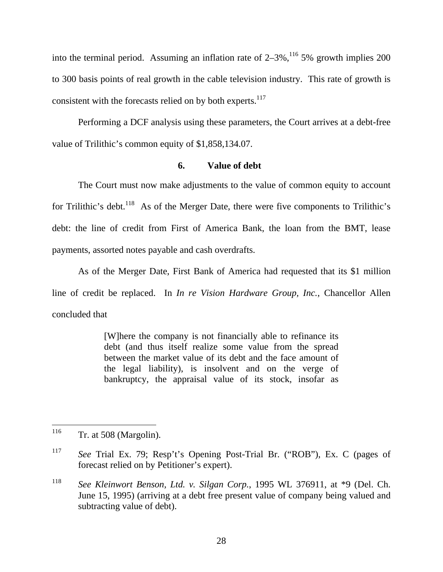into the terminal period. Assuming an inflation rate of  $2-3\%$ ,<sup>116</sup> 5% growth implies 200 to 300 basis points of real growth in the cable television industry. This rate of growth is consistent with the forecasts relied on by both experts.<sup>117</sup>

Performing a DCF analysis using these parameters, the Court arrives at a debt-free value of Trilithic's common equity of \$1,858,134.07.

## **6. Value of debt**

The Court must now make adjustments to the value of common equity to account for Trilithic's debt.<sup>118</sup> As of the Merger Date, there were five components to Trilithic's debt: the line of credit from First of America Bank, the loan from the BMT, lease payments, assorted notes payable and cash overdrafts.

As of the Merger Date, First Bank of America had requested that its \$1 million line of credit be replaced. In *In re Vision Hardware Group, Inc.*, Chancellor Allen concluded that

> [W]here the company is not financially able to refinance its debt (and thus itself realize some value from the spread between the market value of its debt and the face amount of the legal liability), is insolvent and on the verge of bankruptcy, the appraisal value of its stock, insofar as

<sup>116</sup> Tr. at 508 (Margolin).

<sup>117</sup> *See* Trial Ex. 79; Resp't's Opening Post-Trial Br. ("ROB"), Ex. C (pages of forecast relied on by Petitioner's expert).

<sup>118</sup> *See Kleinwort Benson, Ltd. v. Silgan Corp.*, 1995 WL 376911, at \*9 (Del. Ch. June 15, 1995) (arriving at a debt free present value of company being valued and subtracting value of debt).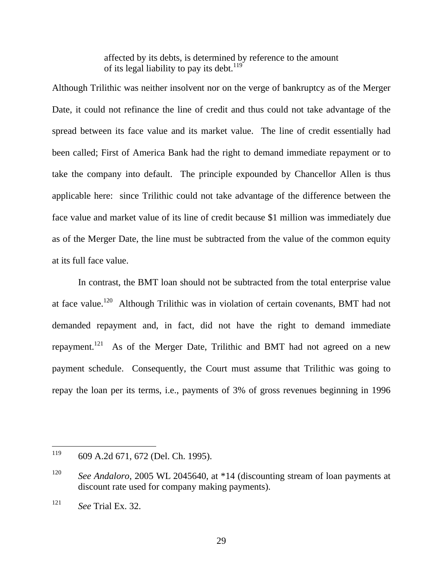affected by its debts, is determined by reference to the amount of its legal liability to pay its debt.<sup>119</sup>

Although Trilithic was neither insolvent nor on the verge of bankruptcy as of the Merger Date, it could not refinance the line of credit and thus could not take advantage of the spread between its face value and its market value. The line of credit essentially had been called; First of America Bank had the right to demand immediate repayment or to take the company into default. The principle expounded by Chancellor Allen is thus applicable here: since Trilithic could not take advantage of the difference between the face value and market value of its line of credit because \$1 million was immediately due as of the Merger Date, the line must be subtracted from the value of the common equity at its full face value.

In contrast, the BMT loan should not be subtracted from the total enterprise value at face value.120 Although Trilithic was in violation of certain covenants, BMT had not demanded repayment and, in fact, did not have the right to demand immediate repayment.<sup>121</sup> As of the Merger Date, Trilithic and BMT had not agreed on a new payment schedule. Consequently, the Court must assume that Trilithic was going to repay the loan per its terms, i.e., payments of 3% of gross revenues beginning in 1996

<sup>119</sup> 609 A.2d 671, 672 (Del. Ch. 1995).

<sup>120</sup> *See Andaloro*, 2005 WL 2045640, at \*14 (discounting stream of loan payments at discount rate used for company making payments).

<sup>121</sup> *See* Trial Ex. 32.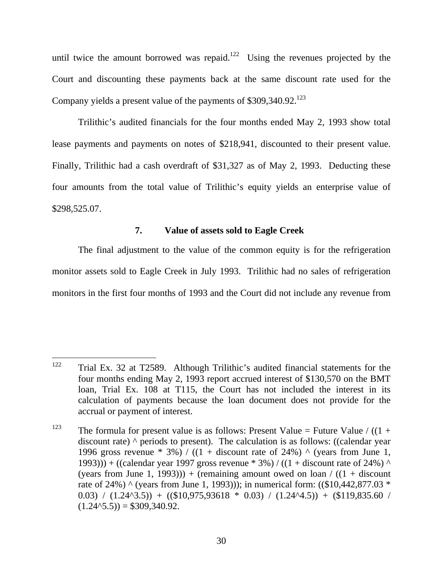until twice the amount borrowed was repaid.<sup>122</sup> Using the revenues projected by the Court and discounting these payments back at the same discount rate used for the Company yields a present value of the payments of  $$309,340.92$ <sup>123</sup>

Trilithic's audited financials for the four months ended May 2, 1993 show total lease payments and payments on notes of \$218,941, discounted to their present value. Finally, Trilithic had a cash overdraft of \$31,327 as of May 2, 1993. Deducting these four amounts from the total value of Trilithic's equity yields an enterprise value of \$298,525.07.

# **7. Value of assets sold to Eagle Creek**

The final adjustment to the value of the common equity is for the refrigeration monitor assets sold to Eagle Creek in July 1993. Trilithic had no sales of refrigeration monitors in the first four months of 1993 and the Court did not include any revenue from

<sup>122</sup> 122 Trial Ex. 32 at T2589. Although Trilithic's audited financial statements for the four months ending May 2, 1993 report accrued interest of \$130,570 on the BMT loan, Trial Ex. 108 at T115, the Court has not included the interest in its calculation of payments because the loan document does not provide for the accrual or payment of interest.

<sup>&</sup>lt;sup>123</sup> The formula for present value is as follows: Present Value = Future Value / ((1 + discount rate) ^ periods to present). The calculation is as follows: ((calendar year 1996 gross revenue \* 3%) / ((1 + discount rate of 24%)  $\land$  (years from June 1, 1993))) + ((calendar year 1997 gross revenue  $*$  3%) / ((1 + discount rate of 24%) ^ (years from June 1, 1993))) + (remaining amount owed on loan /  $((1 + discount$ rate of 24%) ^ (years from June 1, 1993))); in numerical form: ((\$10,442,877.03  $*$ ) 0.03) /  $(1.24<sup>4</sup>3.5))$  +  $(($10,975,93618 * 0.03) / (1.24<sup>4</sup>4.5))$  +  $($119,835.60 /$  $(1.24<sup>4</sup>5.5)) = $309,340.92.$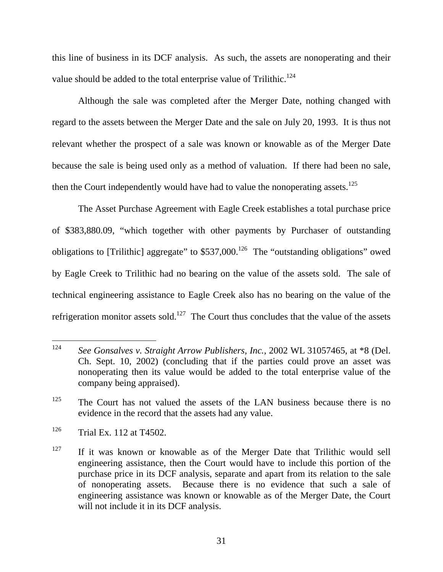this line of business in its DCF analysis. As such, the assets are nonoperating and their value should be added to the total enterprise value of Trilithic.<sup>124</sup>

Although the sale was completed after the Merger Date, nothing changed with regard to the assets between the Merger Date and the sale on July 20, 1993. It is thus not relevant whether the prospect of a sale was known or knowable as of the Merger Date because the sale is being used only as a method of valuation. If there had been no sale, then the Court independently would have had to value the nonoperating assets.<sup>125</sup>

The Asset Purchase Agreement with Eagle Creek establishes a total purchase price of \$383,880.09, "which together with other payments by Purchaser of outstanding obligations to [Trilithic] aggregate" to  $$537,000$ .<sup>126</sup> The "outstanding obligations" owed by Eagle Creek to Trilithic had no bearing on the value of the assets sold. The sale of technical engineering assistance to Eagle Creek also has no bearing on the value of the refrigeration monitor assets sold.<sup>127</sup> The Court thus concludes that the value of the assets

<sup>124</sup> See Gonsalves v. Straight Arrow Publishers, Inc., 2002 WL 31057465, at \*8 (Del. Ch. Sept. 10, 2002) (concluding that if the parties could prove an asset was nonoperating then its value would be added to the total enterprise value of the company being appraised).

 $125$  The Court has not valued the assets of the LAN business because there is no evidence in the record that the assets had any value.

<sup>126</sup> Trial Ex. 112 at T4502.

 $127$  If it was known or knowable as of the Merger Date that Trilithic would sell engineering assistance, then the Court would have to include this portion of the purchase price in its DCF analysis, separate and apart from its relation to the sale of nonoperating assets. Because there is no evidence that such a sale of engineering assistance was known or knowable as of the Merger Date, the Court will not include it in its DCF analysis.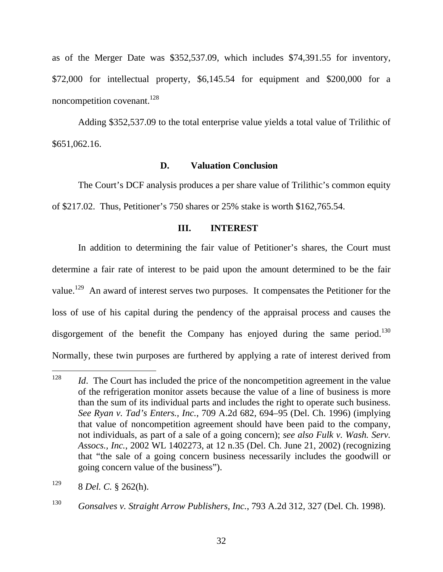as of the Merger Date was \$352,537.09, which includes \$74,391.55 for inventory, \$72,000 for intellectual property, \$6,145.54 for equipment and \$200,000 for a noncompetition covenant.<sup>128</sup>

Adding \$352,537.09 to the total enterprise value yields a total value of Trilithic of \$651,062.16.

## **D. Valuation Conclusion**

The Court's DCF analysis produces a per share value of Trilithic's common equity of \$217.02. Thus, Petitioner's 750 shares or 25% stake is worth \$162,765.54.

# **III. INTEREST**

In addition to determining the fair value of Petitioner's shares, the Court must determine a fair rate of interest to be paid upon the amount determined to be the fair value.<sup>129</sup> An award of interest serves two purposes. It compensates the Petitioner for the loss of use of his capital during the pendency of the appraisal process and causes the disgorgement of the benefit the Company has enjoyed during the same period.<sup>130</sup> Normally, these twin purposes are furthered by applying a rate of interest derived from

<sup>128</sup> *Id.* The Court has included the price of the noncompetition agreement in the value of the refrigeration monitor assets because the value of a line of business is more than the sum of its individual parts and includes the right to operate such business. *See Ryan v. Tad's Enters., Inc.*, 709 A.2d 682, 694–95 (Del. Ch. 1996) (implying that value of noncompetition agreement should have been paid to the company, not individuals, as part of a sale of a going concern); *see also Fulk v. Wash. Serv. Assocs., Inc.*, 2002 WL 1402273, at 12 n.35 (Del. Ch. June 21, 2002) (recognizing that "the sale of a going concern business necessarily includes the goodwill or going concern value of the business").

<sup>129 8</sup> *Del. C.* § 262(h).

<sup>130</sup> *Gonsalves v. Straight Arrow Publishers, Inc.*, 793 A.2d 312, 327 (Del. Ch. 1998).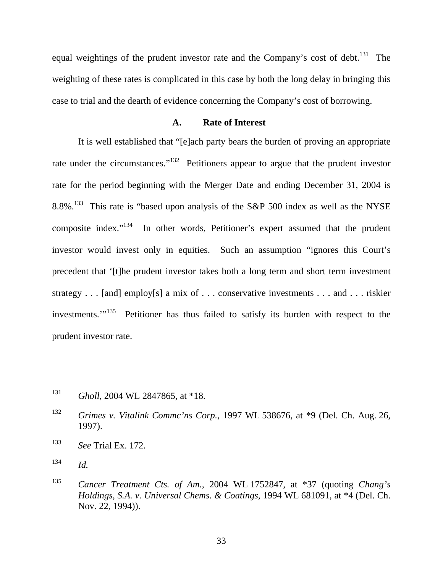equal weightings of the prudent investor rate and the Company's cost of debt.<sup>131</sup> The weighting of these rates is complicated in this case by both the long delay in bringing this case to trial and the dearth of evidence concerning the Company's cost of borrowing.

## **A. Rate of Interest**

It is well established that "[e]ach party bears the burden of proving an appropriate rate under the circumstances."<sup>132</sup> Petitioners appear to argue that the prudent investor rate for the period beginning with the Merger Date and ending December 31, 2004 is 8.8%.133 This rate is "based upon analysis of the S&P 500 index as well as the NYSE composite index."134 In other words, Petitioner's expert assumed that the prudent investor would invest only in equities. Such an assumption "ignores this Court's precedent that '[t]he prudent investor takes both a long term and short term investment strategy . . . [and] employ[s] a mix of . . . conservative investments . . . and . . . riskier investments."<sup>135</sup> Petitioner has thus failed to satisfy its burden with respect to the prudent investor rate.

<sup>131</sup> <sup>131</sup> *Gholl*, 2004 WL 2847865, at \*18.

<sup>132</sup> *Grimes v. Vitalink Commc'ns Corp.*, 1997 WL 538676, at \*9 (Del. Ch. Aug. 26, 1997).

<sup>133</sup> *See* Trial Ex. 172.

 $134$  *Id.* 

<sup>135</sup> *Cancer Treatment Cts. of Am.*, 2004 WL 1752847, at \*37 (quoting *Chang's Holdings, S.A. v. Universal Chems. & Coatings*, 1994 WL 681091, at \*4 (Del. Ch. Nov. 22, 1994)).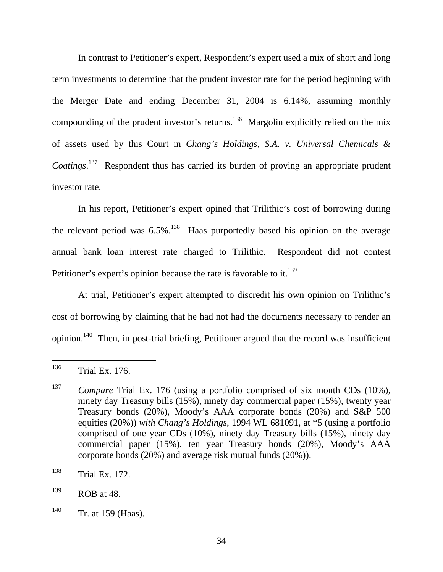In contrast to Petitioner's expert, Respondent's expert used a mix of short and long term investments to determine that the prudent investor rate for the period beginning with the Merger Date and ending December 31, 2004 is 6.14%, assuming monthly compounding of the prudent investor's returns.<sup>136</sup> Margolin explicitly relied on the mix of assets used by this Court in *Chang's Holdings, S.A. v. Universal Chemicals & Coatings*. 137 Respondent thus has carried its burden of proving an appropriate prudent investor rate.

In his report, Petitioner's expert opined that Trilithic's cost of borrowing during the relevant period was  $6.5\%$ <sup>138</sup> Haas purportedly based his opinion on the average annual bank loan interest rate charged to Trilithic. Respondent did not contest Petitioner's expert's opinion because the rate is favorable to it.<sup>139</sup>

At trial, Petitioner's expert attempted to discredit his own opinion on Trilithic's cost of borrowing by claiming that he had not had the documents necessary to render an opinion.<sup>140</sup> Then, in post-trial briefing, Petitioner argued that the record was insufficient

<sup>136</sup> Trial Ex. 176.

<sup>&</sup>lt;sup>137</sup> *Compare* Trial Ex. 176 (using a portfolio comprised of six month CDs (10%), ninety day Treasury bills (15%), ninety day commercial paper (15%), twenty year Treasury bonds (20%), Moody's AAA corporate bonds (20%) and S&P 500 equities (20%)) *with Chang's Holdings*, 1994 WL 681091, at \*5 (using a portfolio comprised of one year CDs (10%), ninety day Treasury bills (15%), ninety day commercial paper (15%), ten year Treasury bonds (20%), Moody's AAA corporate bonds (20%) and average risk mutual funds (20%)).

<sup>138</sup> Trial Ex. 172.

 $^{139}$  ROB at 48.

 $140$  Tr. at 159 (Haas).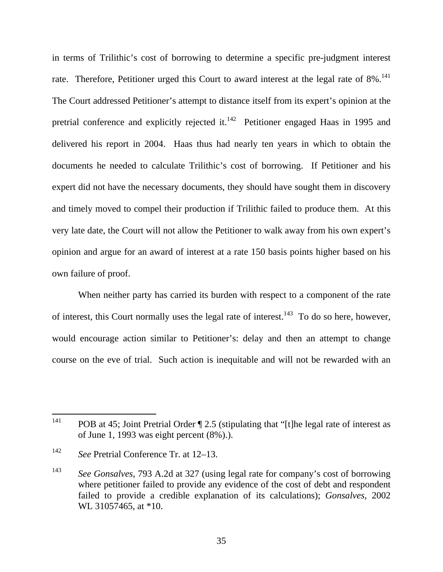in terms of Trilithic's cost of borrowing to determine a specific pre-judgment interest rate. Therefore, Petitioner urged this Court to award interest at the legal rate of 8%.<sup>141</sup> The Court addressed Petitioner's attempt to distance itself from its expert's opinion at the pretrial conference and explicitly rejected it. $142$  Petitioner engaged Haas in 1995 and delivered his report in 2004. Haas thus had nearly ten years in which to obtain the documents he needed to calculate Trilithic's cost of borrowing. If Petitioner and his expert did not have the necessary documents, they should have sought them in discovery and timely moved to compel their production if Trilithic failed to produce them. At this very late date, the Court will not allow the Petitioner to walk away from his own expert's opinion and argue for an award of interest at a rate 150 basis points higher based on his own failure of proof.

When neither party has carried its burden with respect to a component of the rate of interest, this Court normally uses the legal rate of interest.<sup>143</sup> To do so here, however, would encourage action similar to Petitioner's: delay and then an attempt to change course on the eve of trial. Such action is inequitable and will not be rewarded with an

<sup>141</sup> POB at 45; Joint Pretrial Order  $\P$  2.5 (stipulating that "[t]he legal rate of interest as of June 1, 1993 was eight percent (8%).).

<sup>142</sup> *See* Pretrial Conference Tr. at 12–13.

<sup>143</sup> *See Gonsalves*, 793 A.2d at 327 (using legal rate for company's cost of borrowing where petitioner failed to provide any evidence of the cost of debt and respondent failed to provide a credible explanation of its calculations); *Gonsalves*, 2002 WL 31057465, at \*10.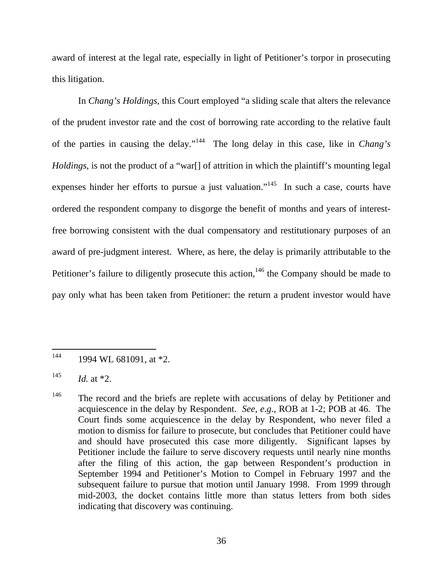award of interest at the legal rate, especially in light of Petitioner's torpor in prosecuting this litigation.

In *Chang's Holdings*, this Court employed "a sliding scale that alters the relevance of the prudent investor rate and the cost of borrowing rate according to the relative fault of the parties in causing the delay."144 The long delay in this case, like in *Chang's Holdings*, is not the product of a "war<sup>[]</sup> of attrition in which the plaintiff's mounting legal expenses hinder her efforts to pursue a just valuation."145 In such a case, courts have ordered the respondent company to disgorge the benefit of months and years of interestfree borrowing consistent with the dual compensatory and restitutionary purposes of an award of pre-judgment interest. Where, as here, the delay is primarily attributable to the Petitioner's failure to diligently prosecute this action,<sup>146</sup> the Company should be made to pay only what has been taken from Petitioner: the return a prudent investor would have

 $\overline{a}$ 

 $144$  1994 WL 681091, at \*2.

 $145$  *Id.* at \*2.

<sup>&</sup>lt;sup>146</sup> The record and the briefs are replete with accusations of delay by Petitioner and acquiescence in the delay by Respondent. *See, e.g.*, ROB at 1-2; POB at 46. The Court finds some acquiescence in the delay by Respondent, who never filed a motion to dismiss for failure to prosecute, but concludes that Petitioner could have and should have prosecuted this case more diligently. Significant lapses by Petitioner include the failure to serve discovery requests until nearly nine months after the filing of this action, the gap between Respondent's production in September 1994 and Petitioner's Motion to Compel in February 1997 and the subsequent failure to pursue that motion until January 1998. From 1999 through mid-2003, the docket contains little more than status letters from both sides indicating that discovery was continuing.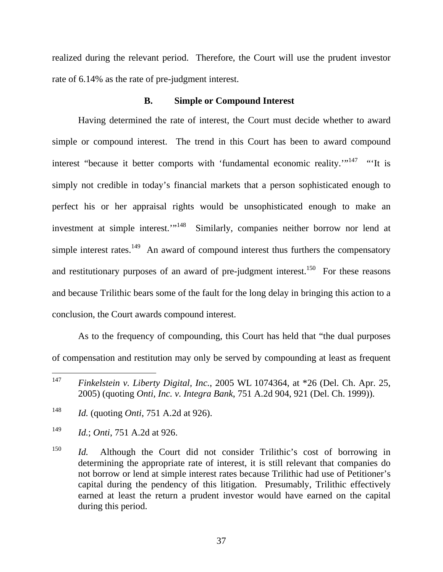realized during the relevant period. Therefore, the Court will use the prudent investor rate of 6.14% as the rate of pre-judgment interest.

## **B. Simple or Compound Interest**

Having determined the rate of interest, the Court must decide whether to award simple or compound interest. The trend in this Court has been to award compound interest "because it better comports with 'fundamental economic reality."<sup>147</sup> "'It is simply not credible in today's financial markets that a person sophisticated enough to perfect his or her appraisal rights would be unsophisticated enough to make an investment at simple interest."<sup>148</sup> Similarly, companies neither borrow nor lend at simple interest rates.<sup>149</sup> An award of compound interest thus furthers the compensatory and restitutionary purposes of an award of pre-judgment interest.<sup>150</sup> For these reasons and because Trilithic bears some of the fault for the long delay in bringing this action to a conclusion, the Court awards compound interest.

As to the frequency of compounding, this Court has held that "the dual purposes of compensation and restitution may only be served by compounding at least as frequent

<sup>147</sup> <sup>147</sup> *Finkelstein v. Liberty Digital, Inc.*, 2005 WL 1074364, at \*26 (Del. Ch. Apr. 25, 2005) (quoting *Onti, Inc. v. Integra Bank*, 751 A.2d 904, 921 (Del. Ch. 1999)).

<sup>148</sup> *Id.* (quoting *Onti*, 751 A.2d at 926).

<sup>149</sup> *Id.*; *Onti*, 751 A.2d at 926.

<sup>&</sup>lt;sup>150</sup> *Id.* Although the Court did not consider Trilithic's cost of borrowing in determining the appropriate rate of interest, it is still relevant that companies do not borrow or lend at simple interest rates because Trilithic had use of Petitioner's capital during the pendency of this litigation. Presumably, Trilithic effectively earned at least the return a prudent investor would have earned on the capital during this period.